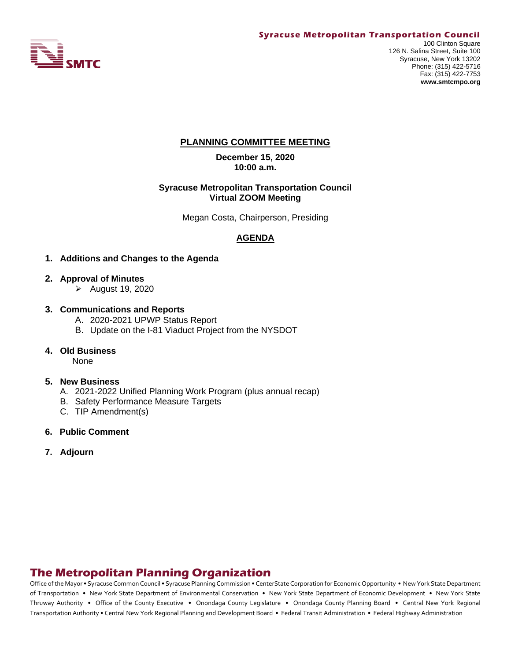

#### **Syracuse Metropolitan Transportation Council**

## **PLANNING COMMITTEE MEETING**

**December 15, 2020 10:00 a.m.**

#### **Syracuse Metropolitan Transportation Council Virtual ZOOM Meeting**

Megan Costa, Chairperson, Presiding

#### **AGENDA**

- **1. Additions and Changes to the Agenda**
- **2. Approval of Minutes**
	- ➢ August 19, 2020
- **3. Communications and Reports** 
	- A. 2020-2021 UPWP Status Report
	- B. Update on the I-81 Viaduct Project from the NYSDOT
- **4. Old Business**

None

#### **5. New Business**

- A. 2021-2022 Unified Planning Work Program (plus annual recap)
- B. Safety Performance Measure Targets
- C. TIP Amendment(s)
- **6. Public Comment**
- **7. Adjourn**

# **The Metropolitan Planning Organization**

Office of the Mayor • Syracuse Common Council • Syracuse Planning Commission • CenterState Corporation for Economic Opportunity • New York State Department of Transportation • New York State Department of Environmental Conservation • New York State Department of Economic Development • New York State Thruway Authority • Office of the County Executive • Onondaga County Legislature • Onondaga County Planning Board • Central New York Regional Transportation Authority • Central New York Regional Planning and Development Board • Federal Transit Administration • Federal Highway Administration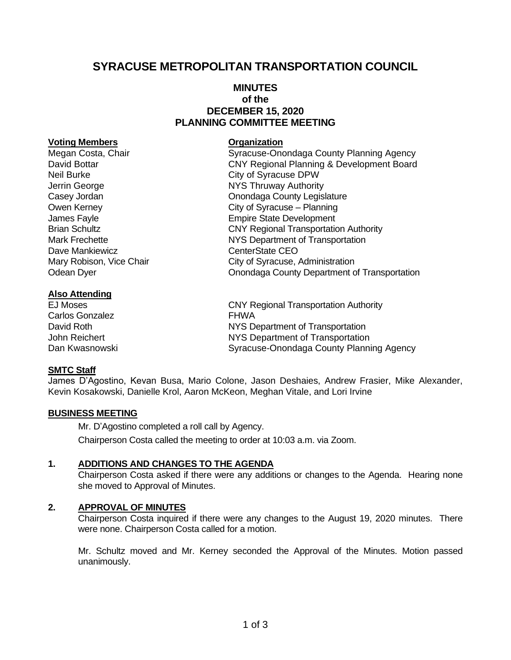# **SYRACUSE METROPOLITAN TRANSPORTATION COUNCIL**

## **MINUTES of the DECEMBER 15, 2020 PLANNING COMMITTEE MEETING**

#### **Voting Members Organization**

Megan Costa, Chair **Syracuse-Onondaga County Planning Agency** Syracuse-Onondaga County Planning Agency Neil Burke City of Syracuse DPW Jerrin George **NYS Thruway Authority** Dave Mankiewicz **CEO** 

#### **Also Attending**

Carlos Gonzalez **FHWA** 

#### **SMTC Staff**

David Bottar CNY Regional Planning & Development Board Casey Jordan Casey Jordan Casey Jordan Casey Jordan County Legislature Owen Kerney City of Syracuse – Planning James Fayle **Empire** State Development Brian Schultz **CNY Regional Transportation Authority** Mark Frechette **NYS Department of Transportation** Mary Robison, Vice Chair **City of Syracuse, Administration** Odean Dyer **Onondaga County Department of Transportation** 

EJ Moses CNY Regional Transportation Authority David Roth NYS Department of Transportation John Reichert NYS Department of Transportation Dan Kwasnowski Syracuse-Onondaga County Planning Agency

James D'Agostino, Kevan Busa, Mario Colone, Jason Deshaies, Andrew Frasier, Mike Alexander, Kevin Kosakowski, Danielle Krol, Aaron McKeon, Meghan Vitale, and Lori Irvine

## **BUSINESS MEETING**

Mr. D'Agostino completed a roll call by Agency. Chairperson Costa called the meeting to order at 10:03 a.m. via Zoom.

#### **1. ADDITIONS AND CHANGES TO THE AGENDA**

Chairperson Costa asked if there were any additions or changes to the Agenda. Hearing none she moved to Approval of Minutes.

#### **2. APPROVAL OF MINUTES**

Chairperson Costa inquired if there were any changes to the August 19, 2020 minutes. There were none. Chairperson Costa called for a motion.

Mr. Schultz moved and Mr. Kerney seconded the Approval of the Minutes. Motion passed unanimously.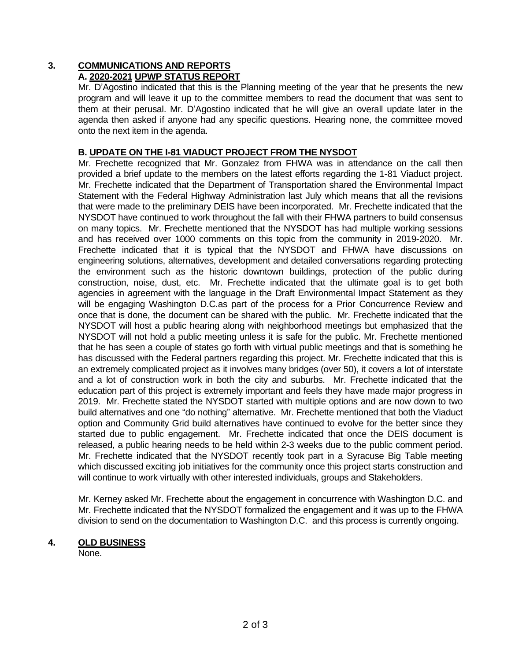# **3. COMMUNICATIONS AND REPORTS**

# **A. 2020-2021 UPWP STATUS REPORT**

Mr. D'Agostino indicated that this is the Planning meeting of the year that he presents the new program and will leave it up to the committee members to read the document that was sent to them at their perusal. Mr. D'Agostino indicated that he will give an overall update later in the agenda then asked if anyone had any specific questions. Hearing none, the committee moved onto the next item in the agenda.

## **B. UPDATE ON THE I-81 VIADUCT PROJECT FROM THE NYSDOT**

Mr. Frechette recognized that Mr. Gonzalez from FHWA was in attendance on the call then provided a brief update to the members on the latest efforts regarding the 1-81 Viaduct project. Mr. Frechette indicated that the Department of Transportation shared the Environmental Impact Statement with the Federal Highway Administration last July which means that all the revisions that were made to the preliminary DEIS have been incorporated. Mr. Frechette indicated that the NYSDOT have continued to work throughout the fall with their FHWA partners to build consensus on many topics. Mr. Frechette mentioned that the NYSDOT has had multiple working sessions and has received over 1000 comments on this topic from the community in 2019-2020. Mr. Frechette indicated that it is typical that the NYSDOT and FHWA have discussions on engineering solutions, alternatives, development and detailed conversations regarding protecting the environment such as the historic downtown buildings, protection of the public during construction, noise, dust, etc. Mr. Frechette indicated that the ultimate goal is to get both agencies in agreement with the language in the Draft Environmental Impact Statement as they will be engaging Washington D.C.as part of the process for a Prior Concurrence Review and once that is done, the document can be shared with the public. Mr. Frechette indicated that the NYSDOT will host a public hearing along with neighborhood meetings but emphasized that the NYSDOT will not hold a public meeting unless it is safe for the public. Mr. Frechette mentioned that he has seen a couple of states go forth with virtual public meetings and that is something he has discussed with the Federal partners regarding this project. Mr. Frechette indicated that this is an extremely complicated project as it involves many bridges (over 50), it covers a lot of interstate and a lot of construction work in both the city and suburbs. Mr. Frechette indicated that the education part of this project is extremely important and feels they have made major progress in 2019. Mr. Frechette stated the NYSDOT started with multiple options and are now down to two build alternatives and one "do nothing" alternative. Mr. Frechette mentioned that both the Viaduct option and Community Grid build alternatives have continued to evolve for the better since they started due to public engagement. Mr. Frechette indicated that once the DEIS document is released, a public hearing needs to be held within 2-3 weeks due to the public comment period. Mr. Frechette indicated that the NYSDOT recently took part in a Syracuse Big Table meeting which discussed exciting job initiatives for the community once this project starts construction and will continue to work virtually with other interested individuals, groups and Stakeholders.

Mr. Kerney asked Mr. Frechette about the engagement in concurrence with Washington D.C. and Mr. Frechette indicated that the NYSDOT formalized the engagement and it was up to the FHWA division to send on the documentation to Washington D.C. and this process is currently ongoing.

## **4. OLD BUSINESS**

None.